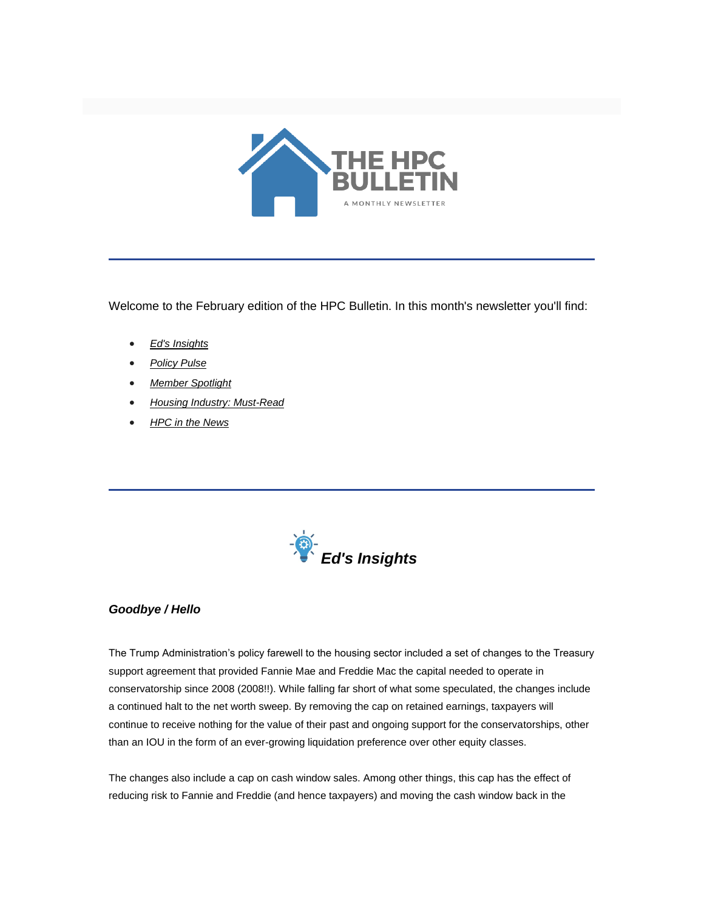

Welcome to the February edition of the HPC Bulletin. In this month's newsletter you'll find:

- *[Ed's Insights](#page-0-0)*
- *[Policy Pulse](#page-1-0)*
- *[Member Spotlight](#page-4-0)*
- *[Housing Industry: Must-Read](#page-4-1)*
- *[HPC in the News](#page-4-2)*

<span id="page-0-0"></span>

## *Goodbye / Hello*

The Trump Administration's policy farewell to the housing sector included a set of changes to the Treasury support agreement that provided Fannie Mae and Freddie Mac the capital needed to operate in conservatorship since 2008 (2008!!). While falling far short of what some speculated, the changes include a continued halt to the net worth sweep. By removing the cap on retained earnings, taxpayers will continue to receive nothing for the value of their past and ongoing support for the conservatorships, other than an IOU in the form of an ever-growing liquidation preference over other equity classes.

The changes also include a cap on cash window sales. Among other things, this cap has the effect of reducing risk to Fannie and Freddie (and hence taxpayers) and moving the cash window back in the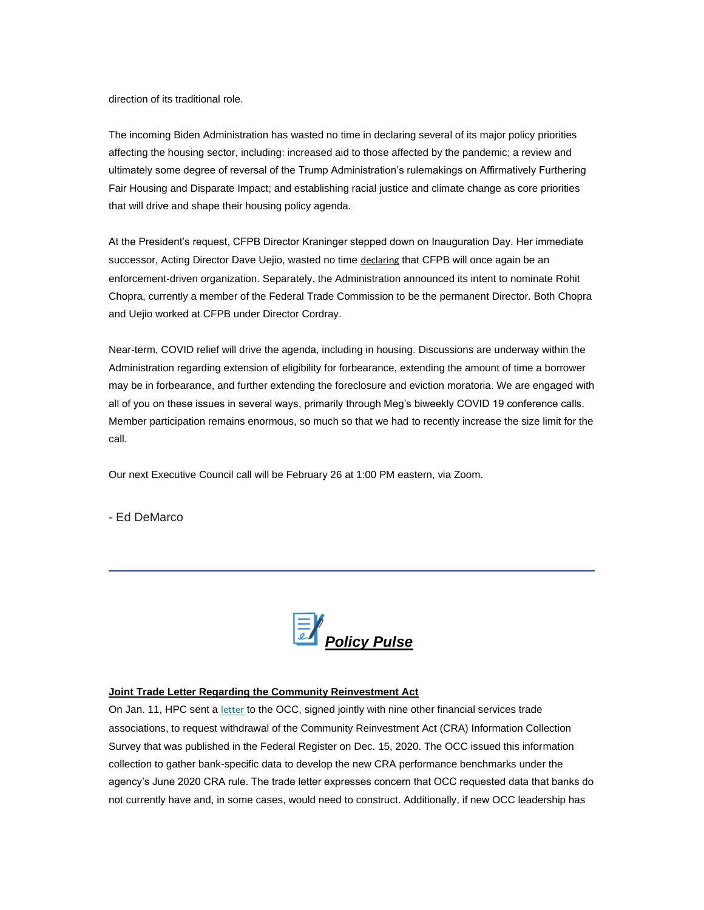direction of its traditional role.

The incoming Biden Administration has wasted no time in declaring several of its major policy priorities affecting the housing sector, including: increased aid to those affected by the pandemic; a review and ultimately some degree of reversal of the Trump Administration's rulemakings on Affirmatively Furthering Fair Housing and Disparate Impact; and establishing racial justice and climate change as core priorities that will drive and shape their housing policy agenda.

At the President's request, CFPB Director Kraninger stepped down on Inauguration Day. Her immediate successor, Acting Director Dave Uejio, wasted no time [declaring](https://nam12.safelinks.protection.outlook.com/?url=https%3A%2F%2Fwww.consumerfinance.gov%2Fabout-us%2Fblog%2Fthe-bureau-is-taking-much-needed-action-to-protect-consumers-particularly-the-most-economically-vulnerable%2F&data=04%7C01%7Canna.herndon%40edelman.com%7Cb9161bd49f5e462bb15c08d8c6c5e9d3%7Cb824bfb3918e43c2bb1cdcc1ba40a82b%7C0%7C0%7C637477900743292343%7CUnknown%7CTWFpbGZsb3d8eyJWIjoiMC4wLjAwMDAiLCJQIjoiV2luMzIiLCJBTiI6Ik1haWwiLCJXVCI6Mn0%3D%7C1000&sdata=sl129laOW5wlpg9cTQthfMWWW2Tr4gLZPFOwGpAUGQA%3D&reserved=0) that CFPB will once again be an enforcement-driven organization. Separately, the Administration announced its intent to nominate Rohit Chopra, currently a member of the Federal Trade Commission to be the permanent Director. Both Chopra and Uejio worked at CFPB under Director Cordray.

Near-term, COVID relief will drive the agenda, including in housing. Discussions are underway within the Administration regarding extension of eligibility for forbearance, extending the amount of time a borrower may be in forbearance, and further extending the foreclosure and eviction moratoria. We are engaged with all of you on these issues in several ways, primarily through Meg's biweekly COVID 19 conference calls. Member participation remains enormous, so much so that we had to recently increase the size limit for the call.

Our next Executive Council call will be February 26 at 1:00 PM eastern, via Zoom.

- Ed DeMarco

<span id="page-1-0"></span>

### **Joint Trade Letter Regarding the Community Reinvestment Act**

On Jan. 11, HPC sent a [letter](https://nam12.safelinks.protection.outlook.com/?url=https%3A%2F%2Ffbb0ab68-1668-4db6-9365-051035190b71.filesusr.com%2Fugd%2Fd315af_daa6cf03653549699ed35ec6d0b82698.pdf&data=04%7C01%7Canna.herndon%40edelman.com%7Cb9161bd49f5e462bb15c08d8c6c5e9d3%7Cb824bfb3918e43c2bb1cdcc1ba40a82b%7C0%7C0%7C637477900743292343%7CUnknown%7CTWFpbGZsb3d8eyJWIjoiMC4wLjAwMDAiLCJQIjoiV2luMzIiLCJBTiI6Ik1haWwiLCJXVCI6Mn0%3D%7C1000&sdata=AjL6Mah6hm%2FblLgjBBhhmuzxdW93zD29j1BEVyPttlg%3D&reserved=0) to the OCC, signed jointly with nine other financial services trade associations, to request withdrawal of the Community Reinvestment Act (CRA) Information Collection Survey that was published in the Federal Register on Dec. 15, 2020. The OCC issued this information collection to gather bank-specific data to develop the new CRA performance benchmarks under the agency's June 2020 CRA rule. The trade letter expresses concern that OCC requested data that banks do not currently have and, in some cases, would need to construct. Additionally, if new OCC leadership has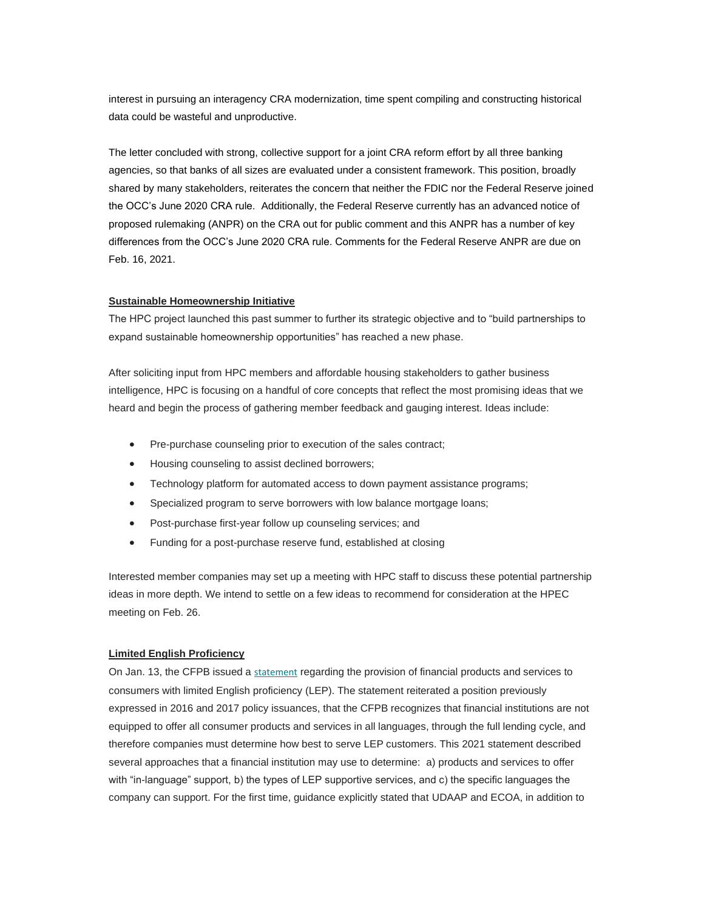interest in pursuing an interagency CRA modernization, time spent compiling and constructing historical data could be wasteful and unproductive.

The letter concluded with strong, collective support for a joint CRA reform effort by all three banking agencies, so that banks of all sizes are evaluated under a consistent framework. This position, broadly shared by many stakeholders, reiterates the concern that neither the FDIC nor the Federal Reserve joined the OCC's June 2020 CRA rule. Additionally, the Federal Reserve currently has an advanced notice of proposed rulemaking (ANPR) on the CRA out for public comment and this ANPR has a number of key differences from the OCC's June 2020 CRA rule. Comments for the Federal Reserve ANPR are due on Feb. 16, 2021.

## **Sustainable Homeownership Initiative**

The HPC project launched this past summer to further its strategic objective and to "build partnerships to expand sustainable homeownership opportunities" has reached a new phase.

After soliciting input from HPC members and affordable housing stakeholders to gather business intelligence, HPC is focusing on a handful of core concepts that reflect the most promising ideas that we heard and begin the process of gathering member feedback and gauging interest. Ideas include:

- Pre-purchase counseling prior to execution of the sales contract;
- Housing counseling to assist declined borrowers;
- Technology platform for automated access to down payment assistance programs;
- Specialized program to serve borrowers with low balance mortgage loans;
- Post-purchase first-year follow up counseling services; and
- Funding for a post-purchase reserve fund, established at closing

Interested member companies may set up a meeting with HPC staff to discuss these potential partnership ideas in more depth. We intend to settle on a few ideas to recommend for consideration at the HPEC meeting on Feb. 26.

#### **Limited English Proficiency**

On Jan. 13, the CFPB issued a [statement](https://nam12.safelinks.protection.outlook.com/?url=https%3A%2F%2Ffiles.consumerfinance.gov%2Ff%2Fdocuments%2Fcfpb_lep-statement_2021-01.pdf&data=04%7C01%7Canna.herndon%40edelman.com%7Cb9161bd49f5e462bb15c08d8c6c5e9d3%7Cb824bfb3918e43c2bb1cdcc1ba40a82b%7C0%7C0%7C637477900743302339%7CUnknown%7CTWFpbGZsb3d8eyJWIjoiMC4wLjAwMDAiLCJQIjoiV2luMzIiLCJBTiI6Ik1haWwiLCJXVCI6Mn0%3D%7C1000&sdata=yxX5chh1EUvtyOCWjKj2Wdx%2F%2Fgd3a48ep%2FhZeHsV7Fo%3D&reserved=0) regarding the provision of financial products and services to consumers with limited English proficiency (LEP). The statement reiterated a position previously expressed in 2016 and 2017 policy issuances, that the CFPB recognizes that financial institutions are not equipped to offer all consumer products and services in all languages, through the full lending cycle, and therefore companies must determine how best to serve LEP customers. This 2021 statement described several approaches that a financial institution may use to determine: a) products and services to offer with "in-language" support, b) the types of LEP supportive services, and c) the specific languages the company can support. For the first time, guidance explicitly stated that UDAAP and ECOA, in addition to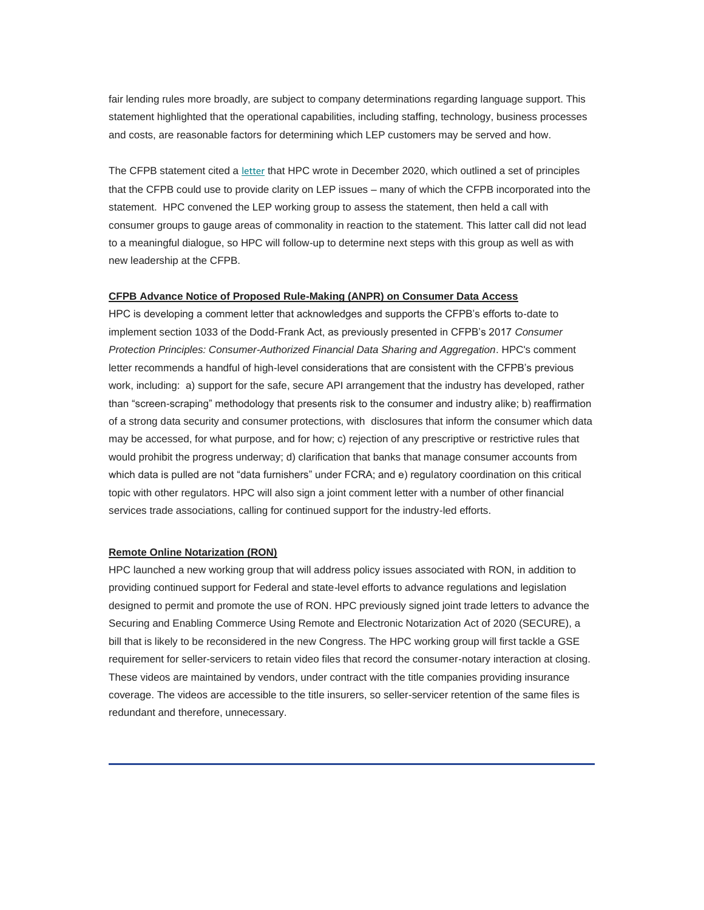fair lending rules more broadly, are subject to company determinations regarding language support. This statement highlighted that the operational capabilities, including staffing, technology, business processes and costs, are reasonable factors for determining which LEP customers may be served and how.

The CFPB statement cited a [letter](https://nam12.safelinks.protection.outlook.com/?url=https%3A%2F%2Ffbb0ab68-1668-4db6-9365-051035190b71.filesusr.com%2Fugd%2Fd315af_93d1d964ce31408b9892f1ef734d9a71.pdf&data=04%7C01%7Canna.herndon%40edelman.com%7Cb9161bd49f5e462bb15c08d8c6c5e9d3%7Cb824bfb3918e43c2bb1cdcc1ba40a82b%7C0%7C0%7C637477900743302339%7CUnknown%7CTWFpbGZsb3d8eyJWIjoiMC4wLjAwMDAiLCJQIjoiV2luMzIiLCJBTiI6Ik1haWwiLCJXVCI6Mn0%3D%7C1000&sdata=G6AsKmTZzLSR3RHeYRFerQu2Pg%2By3jSGxvAGcJmv%2F1U%3D&reserved=0) that HPC wrote in December 2020, which outlined a set of principles that the CFPB could use to provide clarity on LEP issues – many of which the CFPB incorporated into the statement. HPC convened the LEP working group to assess the statement, then held a call with consumer groups to gauge areas of commonality in reaction to the statement. This latter call did not lead to a meaningful dialogue, so HPC will follow-up to determine next steps with this group as well as with new leadership at the CFPB.

## **CFPB Advance Notice of Proposed Rule-Making (ANPR) on Consumer Data Access**

HPC is developing a comment letter that acknowledges and supports the CFPB's efforts to-date to implement section 1033 of the Dodd-Frank Act, as previously presented in CFPB's 2017 *Consumer Protection Principles: Consumer-Authorized Financial Data Sharing and Aggregation*. HPC's comment letter recommends a handful of high-level considerations that are consistent with the CFPB's previous work, including: a) support for the safe, secure API arrangement that the industry has developed, rather than "screen-scraping" methodology that presents risk to the consumer and industry alike; b) reaffirmation of a strong data security and consumer protections, with disclosures that inform the consumer which data may be accessed, for what purpose, and for how; c) rejection of any prescriptive or restrictive rules that would prohibit the progress underway; d) clarification that banks that manage consumer accounts from which data is pulled are not "data furnishers" under FCRA; and e) regulatory coordination on this critical topic with other regulators. HPC will also sign a joint comment letter with a number of other financial services trade associations, calling for continued support for the industry-led efforts.

### **Remote Online Notarization (RON)**

HPC launched a new working group that will address policy issues associated with RON, in addition to providing continued support for Federal and state-level efforts to advance regulations and legislation designed to permit and promote the use of RON. HPC previously signed joint trade letters to advance the Securing and Enabling Commerce Using Remote and Electronic Notarization Act of 2020 (SECURE), a bill that is likely to be reconsidered in the new Congress. The HPC working group will first tackle a GSE requirement for seller-servicers to retain video files that record the consumer-notary interaction at closing. These videos are maintained by vendors, under contract with the title companies providing insurance coverage. The videos are accessible to the title insurers, so seller-servicer retention of the same files is redundant and therefore, unnecessary.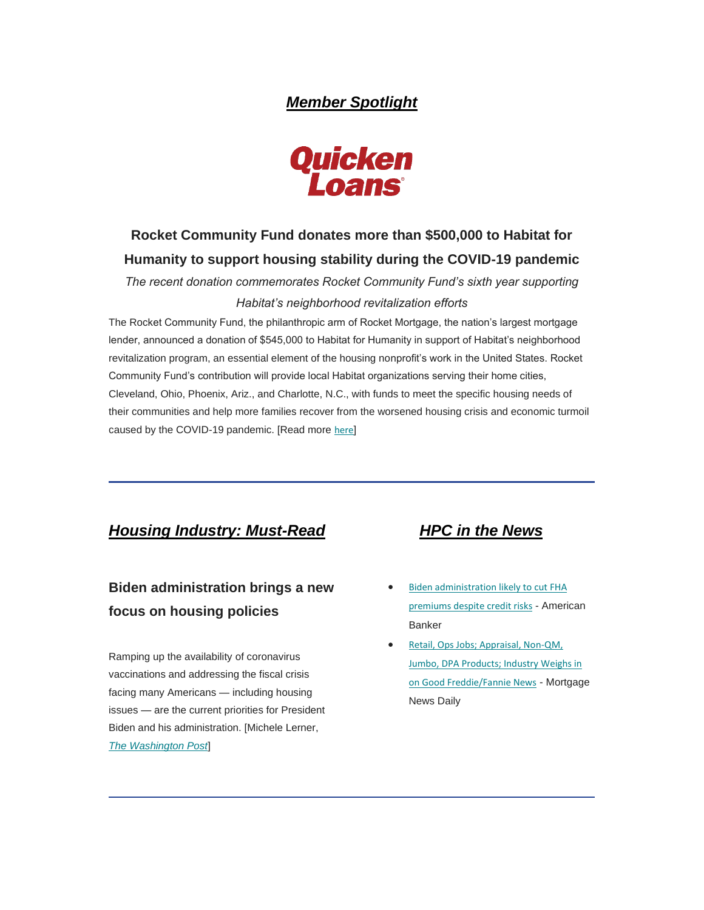# *Member Spotlight*



# <span id="page-4-0"></span>**Rocket Community Fund donates more than \$500,000 to Habitat for Humanity to support housing stability during the COVID-19 pandemic**

*The recent donation commemorates Rocket Community Fund's sixth year supporting Habitat's neighborhood revitalization efforts*

The Rocket Community Fund, the philanthropic arm of Rocket Mortgage, the nation's largest mortgage lender, announced a donation of \$545,000 to Habitat for Humanity in support of Habitat's neighborhood revitalization program, an essential element of the housing nonprofit's work in the United States. Rocket Community Fund's contribution will provide local Habitat organizations serving their home cities, Cleveland, Ohio, Phoenix, Ariz., and Charlotte, N.C., with funds to meet the specific housing needs of their communities and help more families recover from the worsened housing crisis and economic turmoil caused by the COVID-19 pandemic. [Read more [here](https://nam12.safelinks.protection.outlook.com/?url=https%3A%2F%2Fwww.quickenloans.com%2Fpress-room%2F2021%2F01%2F15%2Frocket-community-fund-donates-more-than-500000-to-habitat-for-humanity-to-support-housing-stability-during-the-covid-19-pandemic%2F&data=04%7C01%7Canna.herndon%40edelman.com%7Cb9161bd49f5e462bb15c08d8c6c5e9d3%7Cb824bfb3918e43c2bb1cdcc1ba40a82b%7C0%7C0%7C637477900743312331%7CUnknown%7CTWFpbGZsb3d8eyJWIjoiMC4wLjAwMDAiLCJQIjoiV2luMzIiLCJBTiI6Ik1haWwiLCJXVCI6Mn0%3D%7C1000&sdata=NDAkVln7k2hjzrtMfaONRMm3gjr3kOWfmJxQ255lWYM%3D&reserved=0)]

## <span id="page-4-1"></span>*Housing Industry: Must-Read HPC in the News*

# **Biden administration brings a new focus on housing policies**

Ramping up the availability of coronavirus vaccinations and addressing the fiscal crisis facing many Americans — including housing issues — are the current priorities for President Biden and his administration. [Michele Lerner, *[The Washington Post](https://nam12.safelinks.protection.outlook.com/?url=https%3A%2F%2Fwww.washingtonpost.com%2Frealestate%2Fbiden-administration-brings-a-new-focus-on-housing-policies%2F2021%2F01%2F28%2Fae4570b4-5f4f-11eb-9061-07abcc1f9229_story.html&data=04%7C01%7Canna.herndon%40edelman.com%7Cb9161bd49f5e462bb15c08d8c6c5e9d3%7Cb824bfb3918e43c2bb1cdcc1ba40a82b%7C0%7C0%7C637477900743312331%7CUnknown%7CTWFpbGZsb3d8eyJWIjoiMC4wLjAwMDAiLCJQIjoiV2luMzIiLCJBTiI6Ik1haWwiLCJXVCI6Mn0%3D%7C1000&sdata=nKTbiQm7kdfy%2FvMVSug5VPjSNRtMJZ7YRJeSWcTCSlY%3D&reserved=0)*]

- <span id="page-4-2"></span>• Biden administration likely to cut FHA [premiums despite credit risks](https://nam12.safelinks.protection.outlook.com/?url=https%3A%2F%2Fwww.americanbanker.com%2Fnews%2Fbiden-administration-likely-to-cut-fha-premiums-despite-credit-risks&data=04%7C01%7Canna.herndon%40edelman.com%7Cb9161bd49f5e462bb15c08d8c6c5e9d3%7Cb824bfb3918e43c2bb1cdcc1ba40a82b%7C0%7C0%7C637477900743322325%7CUnknown%7CTWFpbGZsb3d8eyJWIjoiMC4wLjAwMDAiLCJQIjoiV2luMzIiLCJBTiI6Ik1haWwiLCJXVCI6Mn0%3D%7C1000&sdata=scnkLFoKZ1mUWNNm6%2F9wqDVrzQOJJBIDy3SULdbRdHw%3D&reserved=0) - American Banker
- [Retail, Ops Jobs; Appraisal, Non-QM,](https://nam12.safelinks.protection.outlook.com/?url=http%3A%2F%2Fwww.mortgagenewsdaily.com%2Fchannels%2Fpipelinepress%2F01152021-december-retail-sales.aspx&data=04%7C01%7Canna.herndon%40edelman.com%7Cb9161bd49f5e462bb15c08d8c6c5e9d3%7Cb824bfb3918e43c2bb1cdcc1ba40a82b%7C0%7C0%7C637477900743322325%7CUnknown%7CTWFpbGZsb3d8eyJWIjoiMC4wLjAwMDAiLCJQIjoiV2luMzIiLCJBTiI6Ik1haWwiLCJXVCI6Mn0%3D%7C1000&sdata=iwbsuM9toCAxuE5Ow2Hkvm4blr8mWgWIer1jHaOcwsI%3D&reserved=0)  [Jumbo, DPA Products; Industry Weighs in](https://nam12.safelinks.protection.outlook.com/?url=http%3A%2F%2Fwww.mortgagenewsdaily.com%2Fchannels%2Fpipelinepress%2F01152021-december-retail-sales.aspx&data=04%7C01%7Canna.herndon%40edelman.com%7Cb9161bd49f5e462bb15c08d8c6c5e9d3%7Cb824bfb3918e43c2bb1cdcc1ba40a82b%7C0%7C0%7C637477900743322325%7CUnknown%7CTWFpbGZsb3d8eyJWIjoiMC4wLjAwMDAiLCJQIjoiV2luMzIiLCJBTiI6Ik1haWwiLCJXVCI6Mn0%3D%7C1000&sdata=iwbsuM9toCAxuE5Ow2Hkvm4blr8mWgWIer1jHaOcwsI%3D&reserved=0)  [on Good Freddie/Fannie News](https://nam12.safelinks.protection.outlook.com/?url=http%3A%2F%2Fwww.mortgagenewsdaily.com%2Fchannels%2Fpipelinepress%2F01152021-december-retail-sales.aspx&data=04%7C01%7Canna.herndon%40edelman.com%7Cb9161bd49f5e462bb15c08d8c6c5e9d3%7Cb824bfb3918e43c2bb1cdcc1ba40a82b%7C0%7C0%7C637477900743322325%7CUnknown%7CTWFpbGZsb3d8eyJWIjoiMC4wLjAwMDAiLCJQIjoiV2luMzIiLCJBTiI6Ik1haWwiLCJXVCI6Mn0%3D%7C1000&sdata=iwbsuM9toCAxuE5Ow2Hkvm4blr8mWgWIer1jHaOcwsI%3D&reserved=0) - Mortgage News Daily